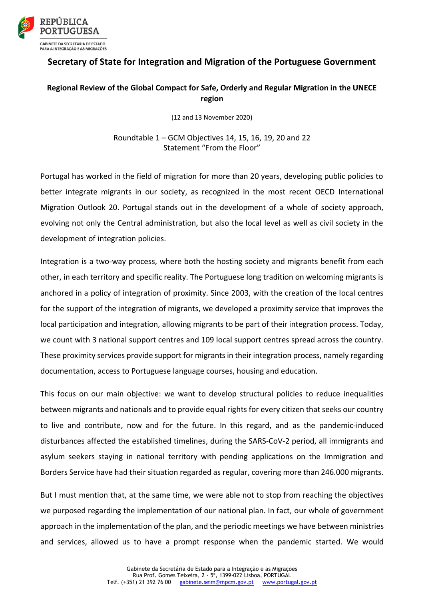

## **Secretary of State for Integration and Migration of the Portuguese Government**

## **Regional Review of the Global Compact for Safe, Orderly and Regular Migration in the UNECE region**

(12 and 13 November 2020)

Roundtable 1 – GCM Objectives 14, 15, 16, 19, 20 and 22 Statement "From the Floor"

Portugal has worked in the field of migration for more than 20 years, developing public policies to better integrate migrants in our society, as recognized in the most recent OECD International Migration Outlook 20. Portugal stands out in the development of a whole of society approach, evolving not only the Central administration, but also the local level as well as civil society in the development of integration policies.

Integration is a two-way process, where both the hosting society and migrants benefit from each other, in each territory and specific reality. The Portuguese long tradition on welcoming migrants is anchored in a policy of integration of proximity. Since 2003, with the creation of the local centres for the support of the integration of migrants, we developed a proximity service that improves the local participation and integration, allowing migrants to be part of their integration process. Today, we count with 3 national support centres and 109 local support centres spread across the country. These proximity services provide support for migrants in their integration process, namely regarding documentation, access to Portuguese language courses, housing and education.

This focus on our main objective: we want to develop structural policies to reduce inequalities between migrants and nationals and to provide equal rights for every citizen that seeks our country to live and contribute, now and for the future. In this regard, and as the pandemic-induced disturbances affected the established timelines, during the SARS-CoV-2 period, all immigrants and asylum seekers staying in national territory with pending applications on the Immigration and Borders Service have had their situation regarded as regular, covering more than 246.000 migrants.

But I must mention that, at the same time, we were able not to stop from reaching the objectives we purposed regarding the implementation of our national plan. In fact, our whole of government approach in the implementation of the plan, and the periodic meetings we have between ministries and services, allowed us to have a prompt response when the pandemic started. We would